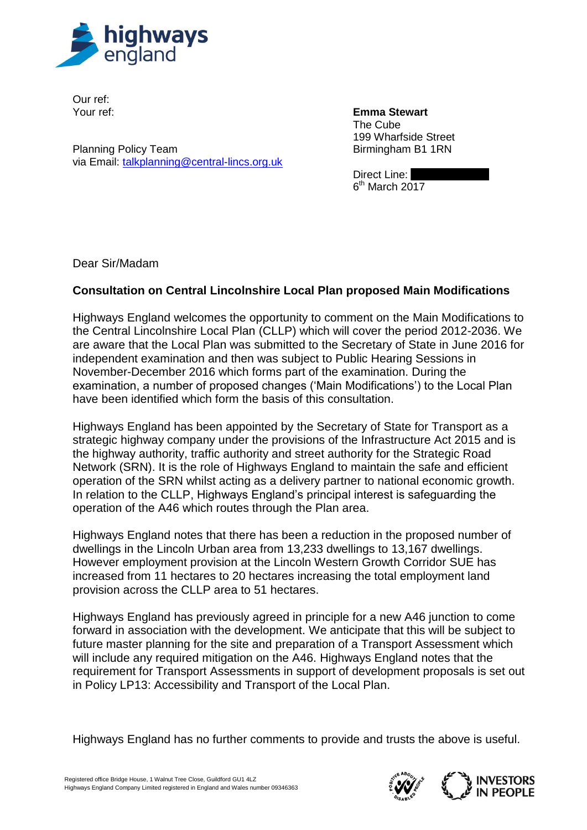

Our ref: Your ref:

Planning Policy Team via Email: [talkplanning@central-lincs.org.uk](mailto:talkplanning@central-lincs.org.uk) **Emma Stewart** The Cube 199 Wharfside Street

Birmingham B1 1RN

Direct Line:  $6<sup>th</sup>$  March 2017

Dear Sir/Madam

## **Consultation on Central Lincolnshire Local Plan proposed Main Modifications**

Highways England welcomes the opportunity to comment on the Main Modifications to the Central Lincolnshire Local Plan (CLLP) which will cover the period 2012-2036. We are aware that the Local Plan was submitted to the Secretary of State in June 2016 for independent examination and then was subject to Public Hearing Sessions in November-December 2016 which forms part of the examination. During the examination, a number of proposed changes ('Main Modifications') to the Local Plan have been identified which form the basis of this consultation.

Highways England has been appointed by the Secretary of State for Transport as a strategic highway company under the provisions of the Infrastructure Act 2015 and is the highway authority, traffic authority and street authority for the Strategic Road Network (SRN). It is the role of Highways England to maintain the safe and efficient operation of the SRN whilst acting as a delivery partner to national economic growth. In relation to the CLLP, Highways England's principal interest is safeguarding the operation of the A46 which routes through the Plan area.

Highways England notes that there has been a reduction in the proposed number of dwellings in the Lincoln Urban area from 13,233 dwellings to 13,167 dwellings. However employment provision at the Lincoln Western Growth Corridor SUE has increased from 11 hectares to 20 hectares increasing the total employment land provision across the CLLP area to 51 hectares.

Highways England has previously agreed in principle for a new A46 junction to come forward in association with the development. We anticipate that this will be subject to future master planning for the site and preparation of a Transport Assessment which will include any required mitigation on the A46. Highways England notes that the requirement for Transport Assessments in support of development proposals is set out in Policy LP13: Accessibility and Transport of the Local Plan.

Highways England has no further comments to provide and trusts the above is useful.